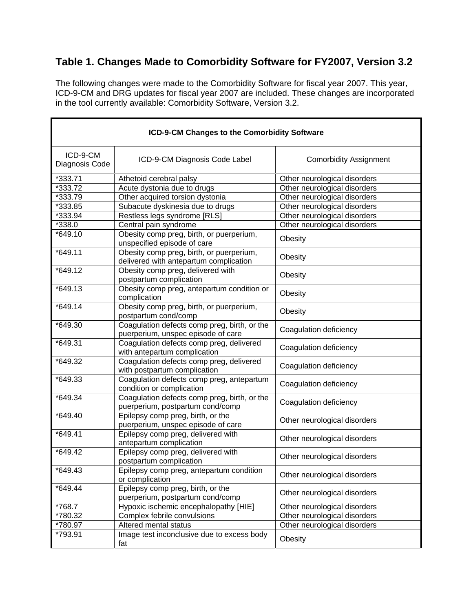## **Table 1. Changes Made to Comorbidity Software for FY2007, Version 3.2**

The following changes were made to the Comorbidity Software for fiscal year 2007. This year, ICD-9-CM and DRG updates for fiscal year 2007 are included. These changes are incorporated in the tool currently available: Comorbidity Software, Version 3.2.

| ICD-9-CM Changes to the Comorbidity Software |                                                                                    |                               |  |
|----------------------------------------------|------------------------------------------------------------------------------------|-------------------------------|--|
| ICD-9-CM<br>Diagnosis Code                   | ICD-9-CM Diagnosis Code Label                                                      | <b>Comorbidity Assignment</b> |  |
| *333.71                                      | Athetoid cerebral palsy                                                            | Other neurological disorders  |  |
| *333.72                                      | Acute dystonia due to drugs                                                        | Other neurological disorders  |  |
| *333.79                                      | Other acquired torsion dystonia                                                    | Other neurological disorders  |  |
| *333.85                                      | Subacute dyskinesia due to drugs                                                   | Other neurological disorders  |  |
| *333.94                                      | Restless legs syndrome [RLS]                                                       | Other neurological disorders  |  |
| *338.0                                       | Central pain syndrome                                                              | Other neurological disorders  |  |
| *649.10                                      | Obesity comp preg, birth, or puerperium,<br>unspecified episode of care            | Obesity                       |  |
| $*649.11$                                    | Obesity comp preg, birth, or puerperium,<br>delivered with antepartum complication | Obesity                       |  |
| *649.12                                      | Obesity comp preg, delivered with<br>postpartum complication                       | Obesity                       |  |
| $*649.13$                                    | Obesity comp preg, antepartum condition or<br>complication                         | Obesity                       |  |
| $*649.14$                                    | Obesity comp preg, birth, or puerperium,<br>postpartum cond/comp                   | Obesity                       |  |
| *649.30                                      | Coagulation defects comp preg, birth, or the<br>puerperium, unspec episode of care | Coagulation deficiency        |  |
| *649.31                                      | Coagulation defects comp preg, delivered<br>with antepartum complication           | Coagulation deficiency        |  |
| *649.32                                      | Coagulation defects comp preg, delivered<br>with postpartum complication           | Coagulation deficiency        |  |
| *649.33                                      | Coaqulation defects comp preg, antepartum<br>condition or complication             | Coagulation deficiency        |  |
| *649.34                                      | Coagulation defects comp preg, birth, or the<br>puerperium, postpartum cond/comp   | Coagulation deficiency        |  |
| *649.40                                      | Epilepsy comp preg, birth, or the<br>puerperium, unspec episode of care            | Other neurological disorders  |  |
| *649.41                                      | Epilepsy comp preg, delivered with<br>antepartum complication                      | Other neurological disorders  |  |
| *649.42                                      | Epilepsy comp preg, delivered with<br>postpartum complication                      | Other neurological disorders  |  |
| *649.43                                      | Epilepsy comp preg, antepartum condition<br>or complication                        | Other neurological disorders  |  |
| *649.44                                      | Epilepsy comp preg, birth, or the<br>puerperium, postpartum cond/comp              | Other neurological disorders  |  |
| *768.7                                       | Hypoxic ischemic encephalopathy [HIE]                                              | Other neurological disorders  |  |
| *780.32                                      | Complex febrile convulsions                                                        | Other neurological disorders  |  |
| *780.97                                      | Altered mental status                                                              | Other neurological disorders  |  |
| *793.91                                      | Image test inconclusive due to excess body<br>fat                                  | Obesity                       |  |